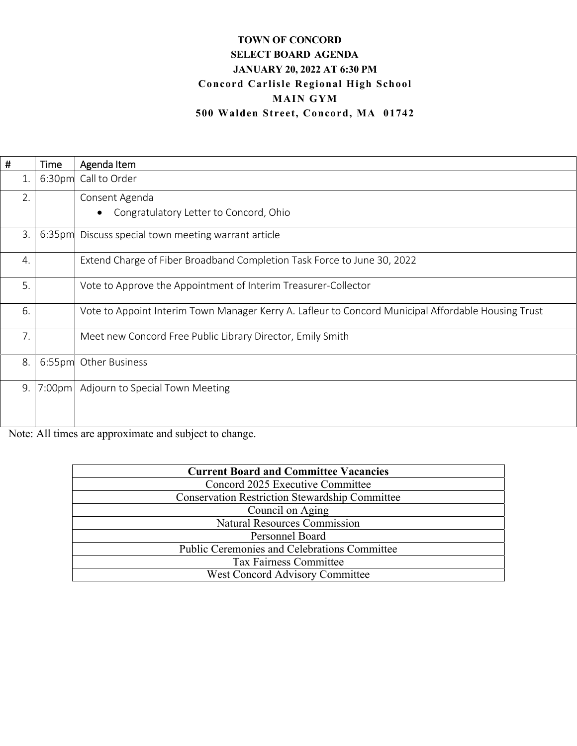# **TOWN OF CONCORD SELECT BOARD AGENDA JANUARY 20, 2022 AT 6:30 PM Concord Carlisle Regional High School MAIN GYM 500 Walden Street, Concord, MA 01742**

| #            | Time   | Agenda Item                                                                                         |
|--------------|--------|-----------------------------------------------------------------------------------------------------|
| 1.           |        | 6:30pm Call to Order                                                                                |
| 2.           |        | Consent Agenda                                                                                      |
|              |        | Congratulatory Letter to Concord, Ohio<br>$\bullet$                                                 |
| 3.           |        | 6:35pm Discuss special town meeting warrant article                                                 |
| 4.           |        | Extend Charge of Fiber Broadband Completion Task Force to June 30, 2022                             |
| 5.           |        | Vote to Approve the Appointment of Interim Treasurer-Collector                                      |
| 6.           |        | Vote to Appoint Interim Town Manager Kerry A. Lafleur to Concord Municipal Affordable Housing Trust |
| 7.           |        | Meet new Concord Free Public Library Director, Emily Smith                                          |
| 8.           |        | 6:55pm Other Business                                                                               |
| 9.           |        | 7:00pm   Adjourn to Special Town Meeting                                                            |
|              |        |                                                                                                     |
| $\mathbf{v}$ | 1.11.1 | $-4$ $-4$ $-4$ $-1$ $-1$ $-1$ $-4$ $-$                                                              |

Note: All times are approximate and subject to change.

| <b>Current Board and Committee Vacancies</b>          |
|-------------------------------------------------------|
| Concord 2025 Executive Committee                      |
| <b>Conservation Restriction Stewardship Committee</b> |
| Council on Aging                                      |
| <b>Natural Resources Commission</b>                   |
| Personnel Board                                       |
| <b>Public Ceremonies and Celebrations Committee</b>   |
| <b>Tax Fairness Committee</b>                         |
| <b>West Concord Advisory Committee</b>                |
|                                                       |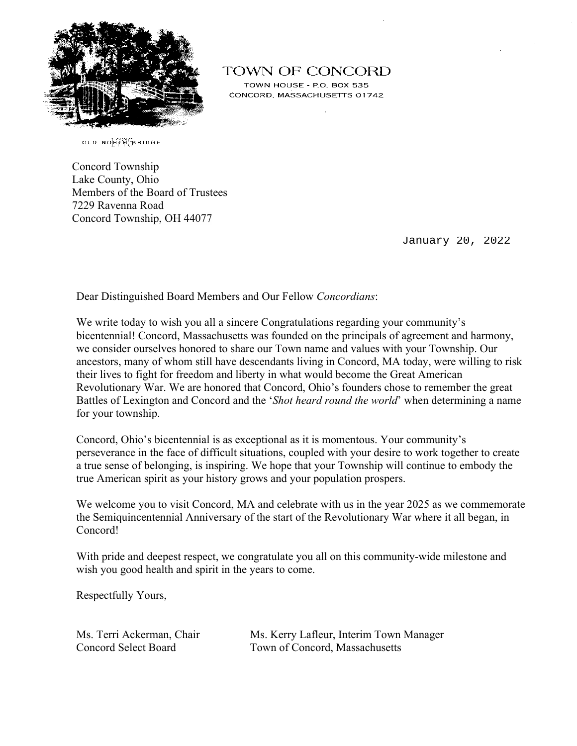

**TOWN OF CONCORD** 

TOWN HOUSE - P.O. BOX 535 CONCORD, MASSACHUSETTS 01742

OLD NORTHPORT

Concord Township Lake County, Ohio Members of the Board of Trustees 7229 Ravenna Road Concord Township, OH 44077

January 20, 2022

Dear Distinguished Board Members and Our Fellow *Concordians*:

We write today to wish you all a sincere Congratulations regarding your community's bicentennial! Concord, Massachusetts was founded on the principals of agreement and harmony, we consider ourselves honored to share our Town name and values with your Township. Our ancestors, many of whom still have descendants living in Concord, MA today, were willing to risk their lives to fight for freedom and liberty in what would become the Great American Revolutionary War. We are honored that Concord, Ohio's founders chose to remember the great Battles of Lexington and Concord and the '*Shot heard round the world*' when determining a name for your township.

Concord, Ohio's bicentennial is as exceptional as it is momentous. Your community's perseverance in the face of difficult situations, coupled with your desire to work together to create a true sense of belonging, is inspiring. We hope that your Township will continue to embody the true American spirit as your history grows and your population prospers.

We welcome you to visit Concord, MA and celebrate with us in the year 2025 as we commemorate the Semiquincentennial Anniversary of the start of the Revolutionary War where it all began, in Concord!

With pride and deepest respect, we congratulate you all on this community-wide milestone and wish you good health and spirit in the years to come.

Respectfully Yours,

Ms. Terri Ackerman, Chair Ms. Kerry Lafleur, Interim Town Manager Concord Select Board Town of Concord, Massachusetts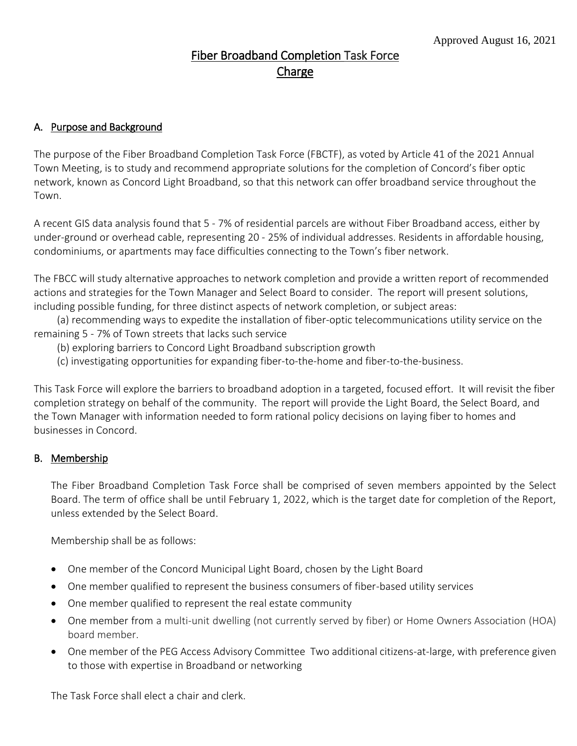# Fiber Broadband Completion Task Force **Charge**

## A. Purpose and Background

The purpose of the Fiber Broadband Completion Task Force (FBCTF), as voted by Article 41 of the 2021 Annual Town Meeting, is to study and recommend appropriate solutions for the completion of Concord's fiber optic network, known as Concord Light Broadband, so that this network can offer broadband service throughout the Town.

A recent GIS data analysis found that 5 - 7% of residential parcels are without Fiber Broadband access, either by under-ground or overhead cable, representing 20 - 25% of individual addresses. Residents in affordable housing, condominiums, or apartments may face difficulties connecting to the Town's fiber network.

The FBCC will study alternative approaches to network completion and provide a written report of recommended actions and strategies for the Town Manager and Select Board to consider. The report will present solutions, including possible funding, for three distinct aspects of network completion, or subject areas:

 (a) recommending ways to expedite the installation of fiber-optic telecommunications utility service on the remaining 5 - 7% of Town streets that lacks such service

- (b) exploring barriers to Concord Light Broadband subscription growth
- (c) investigating opportunities for expanding fiber-to-the-home and fiber-to-the-business.

This Task Force will explore the barriers to broadband adoption in a targeted, focused effort. It will revisit the fiber completion strategy on behalf of the community. The report will provide the Light Board, the Select Board, and the Town Manager with information needed to form rational policy decisions on laying fiber to homes and businesses in Concord.

#### B. Membership

The Fiber Broadband Completion Task Force shall be comprised of seven members appointed by the Select Board. The term of office shall be until February 1, 2022, which is the target date for completion of the Report, unless extended by the Select Board.

Membership shall be as follows:

- One member of the Concord Municipal Light Board, chosen by the Light Board
- One member qualified to represent the business consumers of fiber-based utility services
- One member qualified to represent the real estate community
- One member from a multi-unit dwelling (not currently served by fiber) or Home Owners Association (HOA) board member.
- One member of the PEG Access Advisory Committee Two additional citizens-at-large, with preference given to those with expertise in Broadband or networking

The Task Force shall elect a chair and clerk.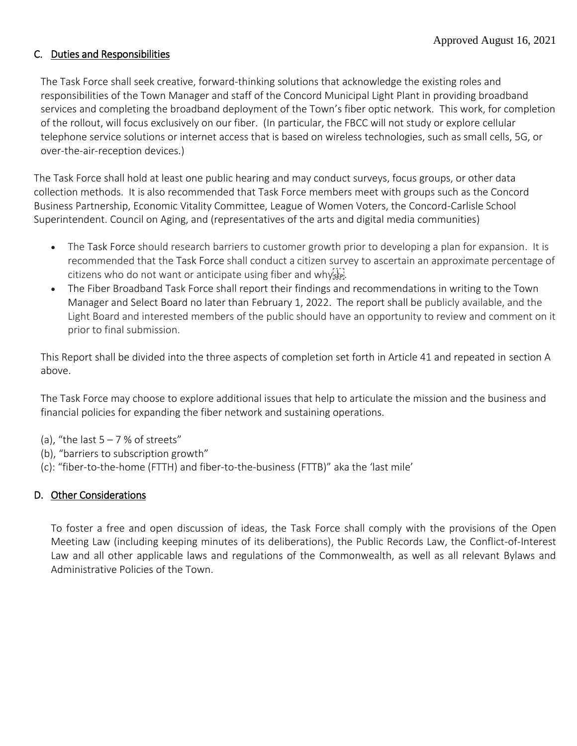## C. Duties and Responsibilities

The Task Force shall seek creative, forward-thinking solutions that acknowledge the existing roles and responsibilities of the Town Manager and staff of the Concord Municipal Light Plant in providing broadband services and completing the broadband deployment of the Town's fiber optic network. This work, for completion of the rollout, will focus exclusively on our fiber. (In particular, the FBCC will not study or explore cellular telephone service solutions or internet access that is based on wireless technologies, such as small cells, 5G, or over-the-air-reception devices.)

The Task Force shall hold at least one public hearing and may conduct surveys, focus groups, or other data collection methods. It is also recommended that Task Force members meet with groups such as the Concord Business Partnership, Economic Vitality Committee, League of Women Voters, the Concord-Carlisle School Superintendent. Council on Aging, and (representatives of the arts and digital media communities)

- The Task Force should research barriers to customer growth prior to developing a plan for expansion. It is recommended that the Task Force shall conduct a citizen survey to ascertain an approximate percentage of citizens who do not want or anticipate using fiber and whysen.
- The Fiber Broadband Task Force shall report their findings and recommendations in writing to the Town Manager and Select Board no later than February 1, 2022. The report shall be publicly available, and the Light Board and interested members of the public should have an opportunity to review and comment on it prior to final submission.

This Report shall be divided into the three aspects of completion set forth in Article 41 and repeated in section A above.

The Task Force may choose to explore additional issues that help to articulate the mission and the business and financial policies for expanding the fiber network and sustaining operations.

- (a), "the last  $5 7$  % of streets"
- (b), "barriers to subscription growth"
- (c): "fiber-to-the-home (FTTH) and fiber-to-the-business (FTTB)" aka the 'last mile'

## D. Other Considerations

To foster a free and open discussion of ideas, the Task Force shall comply with the provisions of the Open Meeting Law (including keeping minutes of its deliberations), the Public Records Law, the Conflict-of-Interest Law and all other applicable laws and regulations of the Commonwealth, as well as all relevant Bylaws and Administrative Policies of the Town.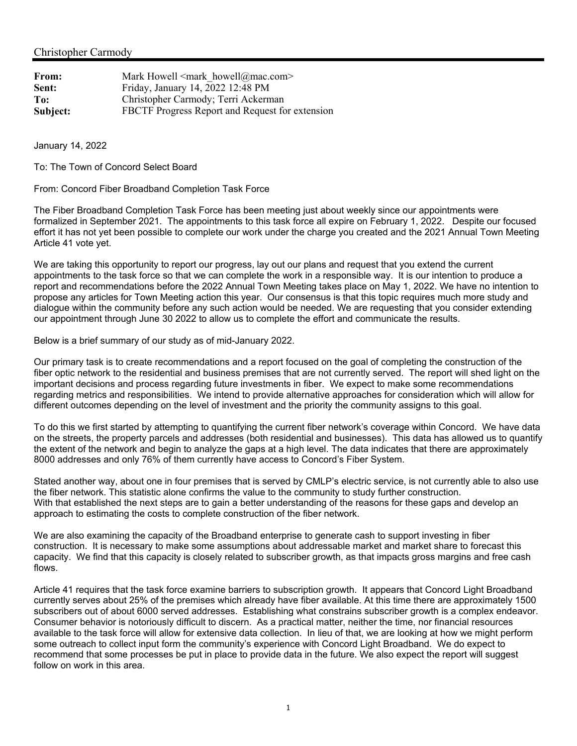| From:    | Mark Howell $\leq$ mark howell@mac.com>         |
|----------|-------------------------------------------------|
| Sent:    | Friday, January 14, 2022 12:48 PM               |
| To:      | Christopher Carmody; Terri Ackerman             |
| Subject: | FBCTF Progress Report and Request for extension |

January 14, 2022

To: The Town of Concord Select Board

From: Concord Fiber Broadband Completion Task Force

The Fiber Broadband Completion Task Force has been meeting just about weekly since our appointments were formalized in September 2021. The appointments to this task force all expire on February 1, 2022. Despite our focused effort it has not yet been possible to complete our work under the charge you created and the 2021 Annual Town Meeting Article 41 vote yet.

We are taking this opportunity to report our progress, lay out our plans and request that you extend the current appointments to the task force so that we can complete the work in a responsible way. It is our intention to produce a report and recommendations before the 2022 Annual Town Meeting takes place on May 1, 2022. We have no intention to propose any articles for Town Meeting action this year. Our consensus is that this topic requires much more study and dialogue within the community before any such action would be needed. We are requesting that you consider extending our appointment through June 30 2022 to allow us to complete the effort and communicate the results.

Below is a brief summary of our study as of mid-January 2022.

Our primary task is to create recommendations and a report focused on the goal of completing the construction of the fiber optic network to the residential and business premises that are not currently served. The report will shed light on the important decisions and process regarding future investments in fiber. We expect to make some recommendations regarding metrics and responsibilities. We intend to provide alternative approaches for consideration which will allow for different outcomes depending on the level of investment and the priority the community assigns to this goal.

To do this we first started by attempting to quantifying the current fiber network's coverage within Concord. We have data on the streets, the property parcels and addresses (both residential and businesses). This data has allowed us to quantify the extent of the network and begin to analyze the gaps at a high level. The data indicates that there are approximately 8000 addresses and only 76% of them currently have access to Concord's Fiber System.

Stated another way, about one in four premises that is served by CMLP's electric service, is not currently able to also use the fiber network. This statistic alone confirms the value to the community to study further construction. With that established the next steps are to gain a better understanding of the reasons for these gaps and develop an approach to estimating the costs to complete construction of the fiber network.

We are also examining the capacity of the Broadband enterprise to generate cash to support investing in fiber construction. It is necessary to make some assumptions about addressable market and market share to forecast this capacity. We find that this capacity is closely related to subscriber growth, as that impacts gross margins and free cash flows.

Article 41 requires that the task force examine barriers to subscription growth. It appears that Concord Light Broadband currently serves about 25% of the premises which already have fiber available. At this time there are approximately 1500 subscribers out of about 6000 served addresses. Establishing what constrains subscriber growth is a complex endeavor. Consumer behavior is notoriously difficult to discern. As a practical matter, neither the time, nor financial resources available to the task force will allow for extensive data collection. In lieu of that, we are looking at how we might perform some outreach to collect input form the community's experience with Concord Light Broadband. We do expect to recommend that some processes be put in place to provide data in the future. We also expect the report will suggest follow on work in this area.